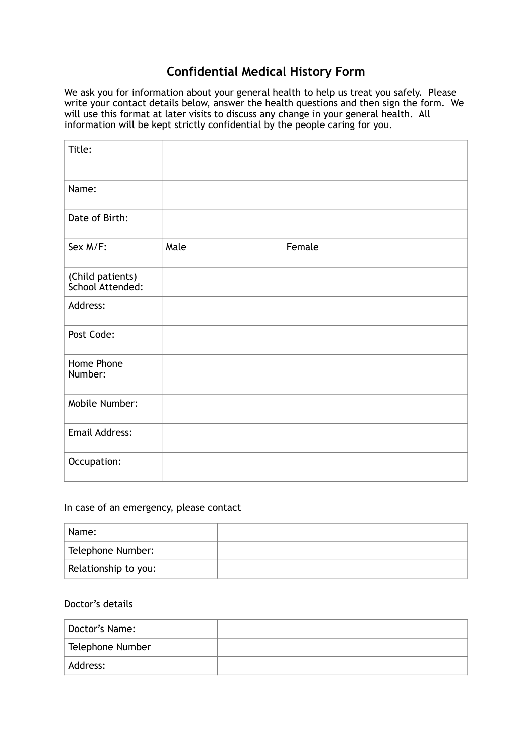## **Confidential Medical History Form**

We ask you for information about your general health to help us treat you safely. Please write your contact details below, answer the health questions and then sign the form. We will use this format at later visits to discuss any change in your general health. All information will be kept strictly confidential by the people caring for you.

| Title:                               |      |        |
|--------------------------------------|------|--------|
| Name:                                |      |        |
| Date of Birth:                       |      |        |
| Sex M/F:                             | Male | Female |
| (Child patients)<br>School Attended: |      |        |
| Address:                             |      |        |
| Post Code:                           |      |        |
| Home Phone<br>Number:                |      |        |
| Mobile Number:                       |      |        |
| <b>Email Address:</b>                |      |        |
| Occupation:                          |      |        |

## In case of an emergency, please contact

| Name:                |  |
|----------------------|--|
| Telephone Number:    |  |
| Relationship to you: |  |

## Doctor's details

| Doctor's Name:   |  |
|------------------|--|
| Telephone Number |  |
| Address:         |  |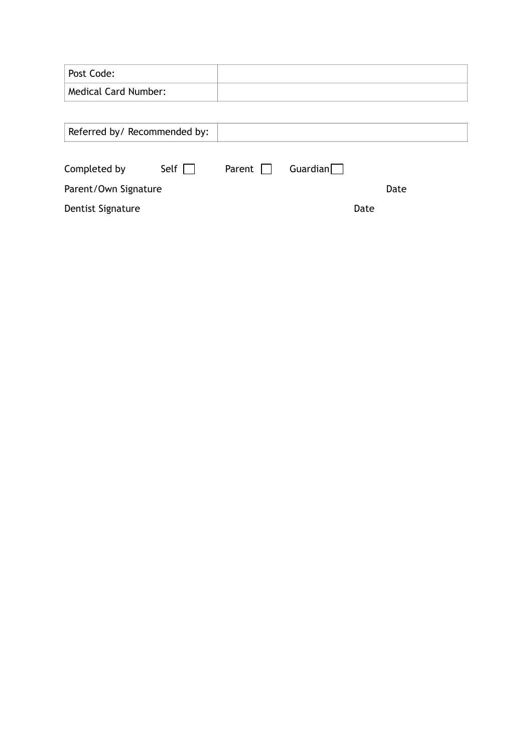| Post Code:                   |              |        |                 |      |      |
|------------------------------|--------------|--------|-----------------|------|------|
| <b>Medical Card Number:</b>  |              |        |                 |      |      |
|                              |              |        |                 |      |      |
| Referred by/ Recommended by: |              |        |                 |      |      |
|                              |              |        |                 |      |      |
| Completed by                 | Self $\vert$ | Parent | Guardian $\Box$ |      |      |
| Parent/Own Signature         |              |        |                 |      | Date |
| Dentist Signature            |              |        |                 | Date |      |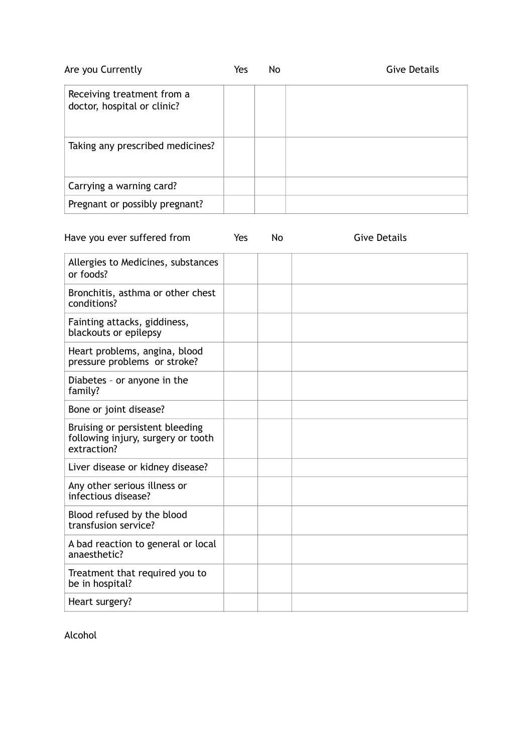| Are you Currently                                         | Yes | No | Give Details |
|-----------------------------------------------------------|-----|----|--------------|
| Receiving treatment from a<br>doctor, hospital or clinic? |     |    |              |
| Taking any prescribed medicines?                          |     |    |              |
| Carrying a warning card?                                  |     |    |              |
| Pregnant or possibly pregnant?                            |     |    |              |

| Have you ever suffered from                                                          | Yes | No | <b>Give Details</b> |
|--------------------------------------------------------------------------------------|-----|----|---------------------|
| Allergies to Medicines, substances<br>or foods?                                      |     |    |                     |
| Bronchitis, asthma or other chest<br>conditions?                                     |     |    |                     |
| Fainting attacks, giddiness,<br>blackouts or epilepsy                                |     |    |                     |
| Heart problems, angina, blood<br>pressure problems or stroke?                        |     |    |                     |
| Diabetes - or anyone in the<br>family?                                               |     |    |                     |
| Bone or joint disease?                                                               |     |    |                     |
| Bruising or persistent bleeding<br>following injury, surgery or tooth<br>extraction? |     |    |                     |
| Liver disease or kidney disease?                                                     |     |    |                     |
| Any other serious illness or<br>infectious disease?                                  |     |    |                     |
| Blood refused by the blood<br>transfusion service?                                   |     |    |                     |
| A bad reaction to general or local<br>anaesthetic?                                   |     |    |                     |
| Treatment that required you to<br>be in hospital?                                    |     |    |                     |
| Heart surgery?                                                                       |     |    |                     |

Alcohol